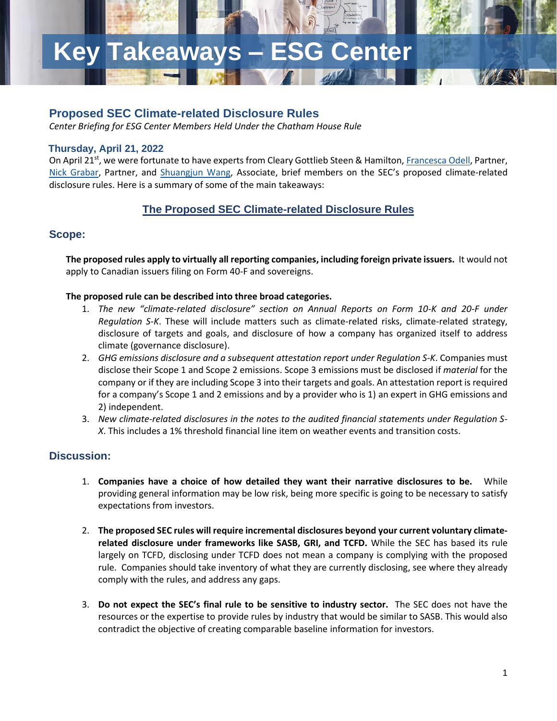# **Key Takeaways – ESG Center**

## **Proposed SEC Climate-related Disclosure Rules**

*Center Briefing for ESG Center Members Held Under the Chatham House Rule*

#### **Thursday, April 21, 2022**

On April 21<sup>st</sup>, we were fortunate to have experts from Cleary Gottlieb Steen & Hamilton[, Francesca Odell,](https://www.clearygottlieb.com/professionals/francesca-l-odell) Partner, [Nick Grabar,](https://www.clearygottlieb.com/professionals/nicolas-grabar) Partner, and [Shuangjun Wang,](https://www.clearygottlieb.com/professionals/shuangjun-wang) Associate, brief members on the SEC's proposed climate-related disclosure rules. Here is a summary of some of the main takeaways:

## **The Proposed SEC Climate-related Disclosure Rules**

#### **Scope:**

**The proposed rules apply to virtually all reporting companies, including foreign private issuers.** It would not apply to Canadian issuers filing on Form 40-F and sovereigns.

#### **The proposed rule can be described into three broad categories.**

- 1. *The new "climate-related disclosure" section on Annual Reports on Form 10-K and 20-F under Regulation S-K*. These will include matters such as climate-related risks, climate-related strategy, disclosure of targets and goals, and disclosure of how a company has organized itself to address climate (governance disclosure).
- 2. *GHG emissions disclosure and a subsequent attestation report under Regulation S-K*. Companies must disclose their Scope 1 and Scope 2 emissions. Scope 3 emissions must be disclosed if *material* for the company or if they are including Scope 3 into their targets and goals. An attestation report is required for a company's Scope 1 and 2 emissions and by a provider who is 1) an expert in GHG emissions and 2) independent.
- 3. *New climate-related disclosures in the notes to the audited financial statements under Regulation S-X*. This includes a 1% threshold financial line item on weather events and transition costs.

### **Discussion:**

- 1. **Companies have a choice of how detailed they want their narrative disclosures to be.** While providing general information may be low risk, being more specific is going to be necessary to satisfy expectations from investors.
- 2. **The proposed SEC rules will require incremental disclosures beyond your current voluntary climaterelated disclosure under frameworks like SASB, GRI, and TCFD.** While the SEC has based its rule largely on TCFD, disclosing under TCFD does not mean a company is complying with the proposed rule. Companies should take inventory of what they are currently disclosing, see where they already comply with the rules, and address any gaps.
- 3. **Do not expect the SEC's final rule to be sensitive to industry sector.** The SEC does not have the resources or the expertise to provide rules by industry that would be similar to SASB. This would also contradict the objective of creating comparable baseline information for investors.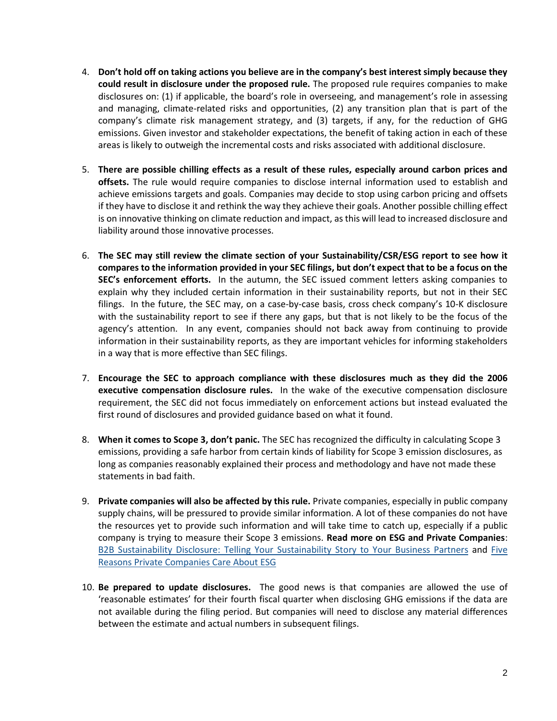- 4. **Don't hold off on taking actions you believe are in the company's best interest simply because they could result in disclosure under the proposed rule.** The proposed rule requires companies to make disclosures on: (1) if applicable, the board's role in overseeing, and management's role in assessing and managing, climate-related risks and opportunities, (2) any transition plan that is part of the company's climate risk management strategy, and (3) targets, if any, for the reduction of GHG emissions. Given investor and stakeholder expectations, the benefit of taking action in each of these areas is likely to outweigh the incremental costs and risks associated with additional disclosure.
- 5. **There are possible chilling effects as a result of these rules, especially around carbon prices and offsets.** The rule would require companies to disclose internal information used to establish and achieve emissions targets and goals. Companies may decide to stop using carbon pricing and offsets if they have to disclose it and rethink the way they achieve their goals. Another possible chilling effect is on innovative thinking on climate reduction and impact, as this will lead to increased disclosure and liability around those innovative processes.
- 6. **The SEC may still review the climate section of your Sustainability/CSR/ESG report to see how it compares to the information provided in your SEC filings, but don't expect that to be a focus on the SEC's enforcement efforts.** In the autumn, the SEC issued comment letters asking companies to explain why they included certain information in their sustainability reports, but not in their SEC filings. In the future, the SEC may, on a case-by-case basis, cross check company's 10-K disclosure with the sustainability report to see if there any gaps, but that is not likely to be the focus of the agency's attention. In any event, companies should not back away from continuing to provide information in their sustainability reports, as they are important vehicles for informing stakeholders in a way that is more effective than SEC filings.
- 7. **Encourage the SEC to approach compliance with these disclosures much as they did the 2006 executive compensation disclosure rules.** In the wake of the executive compensation disclosure requirement, the SEC did not focus immediately on enforcement actions but instead evaluated the first round of disclosures and provided guidance based on what it found.
- 8. **When it comes to Scope 3, don't panic.** The SEC has recognized the difficulty in calculating Scope 3 emissions, providing a safe harbor from certain kinds of liability for Scope 3 emission disclosures, as long as companies reasonably explained their process and methodology and have not made these statements in bad faith.
- 9. **Private companies will also be affected by this rule.** Private companies, especially in public company supply chains, will be pressured to provide similar information. A lot of these companies do not have the resources yet to provide such information and will take time to catch up, especially if a public company is trying to measure their Scope 3 emissions. **Read more on ESG and Private Companies**: [B2B Sustainability Disclosure: Telling Your Sustainability Story to Your Business Partners](https://www.conference-board.org/topics/ESG-reporting/B2B-sustainability-disclosure) and [Five](https://www.conference-board.org/topics/sustainable-business-integration/5-reasons-private-companies-care-about-ESG)  [Reasons Private Companies Care About ESG](https://www.conference-board.org/topics/sustainable-business-integration/5-reasons-private-companies-care-about-ESG)
- 10. **Be prepared to update disclosures.** The good news is that companies are allowed the use of 'reasonable estimates' for their fourth fiscal quarter when disclosing GHG emissions if the data are not available during the filing period. But companies will need to disclose any material differences between the estimate and actual numbers in subsequent filings.